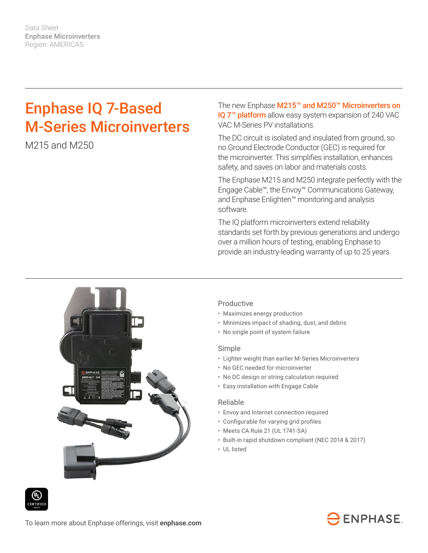Data Sheet Enphase Microinverters Region: AMERICAS

# Enphase IQ 7-Based M-Series Microinverters

M215 and M250

The new Enphase M215™ and M250™ Microinverters on IQ 7<sup>™</sup> platform allow easy system expansion of 240 VAC VAC M-Series PV installations.

The DC circuit is isolated and insulated from ground, so no Ground Electrode Conductor (GEC) is required for the microinverter. This simplifies installation, enhances safety, and saves on labor and materials costs.

The Enphase M215 and M250 integrate perfectly with the Engage Cable™, the Envoy™ Communications Gateway, and Enphase Enlighten™ monitoring and analysis software.

The IQ platform microinverters extend reliability standards set forth by previous generations and undergo over a million hours of testing, enabling Enphase to provide an industry-leading warranty of up to 25 years.



### Productive

- Maximizes energy production
- Minimizes impact of shading, dust, and debris
- No single point of system failure

#### Simple

- Lighter weight than earlier M-Series Microinverters
- No GEC needed for microinverter
- No DC design or string calculation required
- Easy installation with Engage Cable

#### Reliable

- Envoy and Internet connection required
- • Configurable for varying grid profiles
- Meets CA Rule 21 (UL 1741-SA)
- Built-in rapid shutdown compliant (NEC 2014 & 2017)
- UL listed